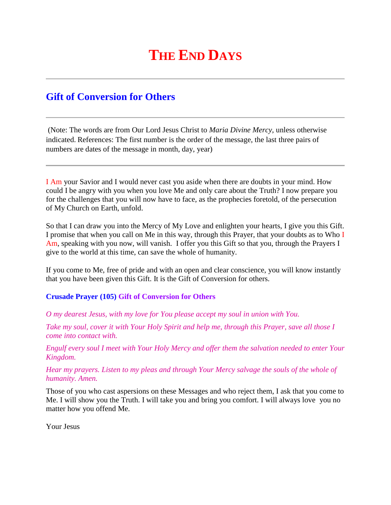## **THE END DAYS**

## **Gift of Conversion for Others**

(Note: The words are from Our Lord Jesus Christ to *Maria Divine Mercy*, unless otherwise indicated. References: The first number is the order of the message, the last three pairs of numbers are dates of the message in month, day, year)

I Am your Savior and I would never cast you aside when there are doubts in your mind. How could I be angry with you when you love Me and only care about the Truth? I now prepare you for the challenges that you will now have to face, as the prophecies foretold, of the persecution of My Church on Earth, unfold.

So that I can draw you into the Mercy of My Love and enlighten your hearts, I give you this Gift. I promise that when you call on Me in this way, through this Prayer, that your doubts as to Who I Am, speaking with you now, will vanish. I offer you this Gift so that you, through the Prayers I give to the world at this time, can save the whole of humanity.

If you come to Me, free of pride and with an open and clear conscience, you will know instantly that you have been given this Gift. It is the Gift of Conversion for others.

## **Crusade Prayer (105) Gift of Conversion for Others**

*O my dearest Jesus, with my love for You please accept my soul in union with You.*

*Take my soul, cover it with Your Holy Spirit and help me, through this Prayer, save all those I come into contact with.*

*Engulf every soul I meet with Your Holy Mercy and offer them the salvation needed to enter Your Kingdom.*

*Hear my prayers. Listen to my pleas and through Your Mercy salvage the souls of the whole of humanity. Amen.*

Those of you who cast aspersions on these Messages and who reject them, I ask that you come to Me. I will show you the Truth. I will take you and bring you comfort. I will always love you no matter how you offend Me.

Your Jesus